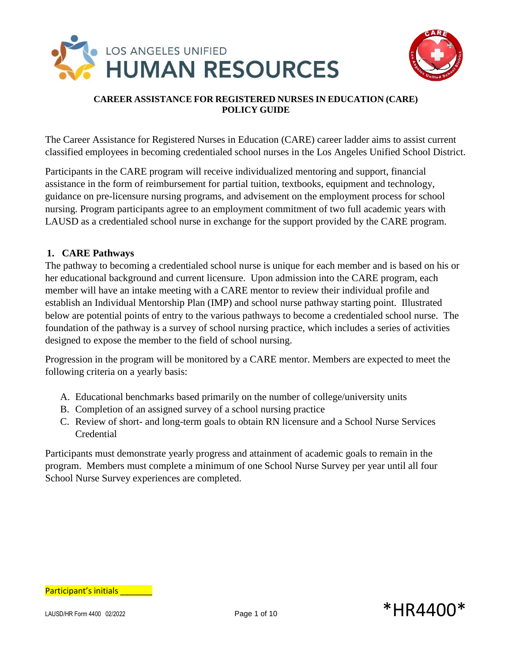



The Career Assistance for Registered Nurses in Education (CARE) career ladder aims to assist current classified employees in becoming credentialed school nurses in the Los Angeles Unified School District.

Participants in the CARE program will receive individualized mentoring and support, financial assistance in the form of reimbursement for partial tuition, textbooks, equipment and technology, guidance on pre-licensure nursing programs, and advisement on the employment process for school nursing. Program participants agree to an employment commitment of two full academic years with LAUSD as a credentialed school nurse in exchange for the support provided by the CARE program.

# **1. CARE Pathways**

The pathway to becoming a credentialed school nurse is unique for each member and is based on his or her educational background and current licensure. Upon admission into the CARE program, each member will have an intake meeting with a CARE mentor to review their individual profile and establish an Individual Mentorship Plan (IMP) and school nurse pathway starting point. Illustrated below are potential points of entry to the various pathways to become a credentialed school nurse. The foundation of the pathway is a survey of school nursing practice, which includes a series of activities designed to expose the member to the field of school nursing.

Progression in the program will be monitored by a CARE mentor. Members are expected to meet the following criteria on a yearly basis:

- A. Educational benchmarks based primarily on the number of college/university units
- B. Completion of an assigned survey of a school nursing practice
- C. Review of short- and long-term goals to obtain RN licensure and a School Nurse Services Credential

Participants must demonstrate yearly progress and attainment of academic goals to remain in the program. Members must complete a minimum of one School Nurse Survey per year until all four School Nurse Survey experiences are completed.

Participant's initials **Exercise**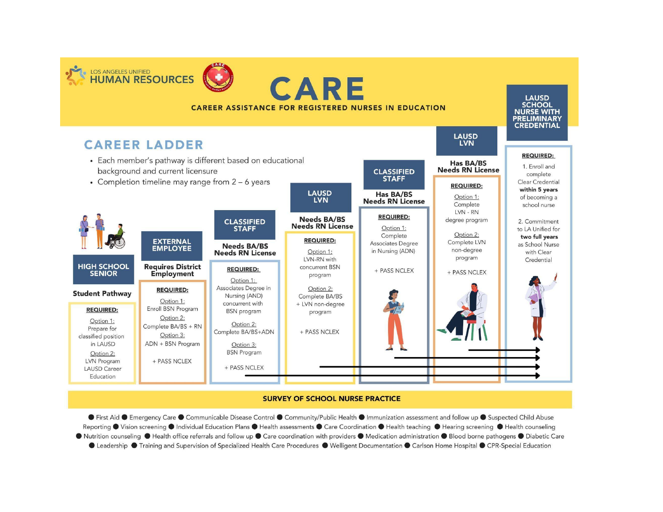

#### **SURVEY OF SCHOOL NURSE PRACTICE**

● First Aid ● Emergency Care ● Communicable Disease Control ● Community/Public Health ● Immunization assessment and follow up ● Suspected Child Abuse Reporting ● Vision screening ● Individual Education Plans ● Health assessments ● Care Coordination ● Health teaching ● Hearing screening ● Health counseling ● Nutrition counseling ● Health office referrals and follow up ● Care coordination with providers ● Medication administration ● Blood borne pathogens ● Diabetic Care ● Leadership ● Training and Supervision of Specialized Health Care Procedures ● Welligent Documentation ● Carlson Home Hospital ● CPR-Special Education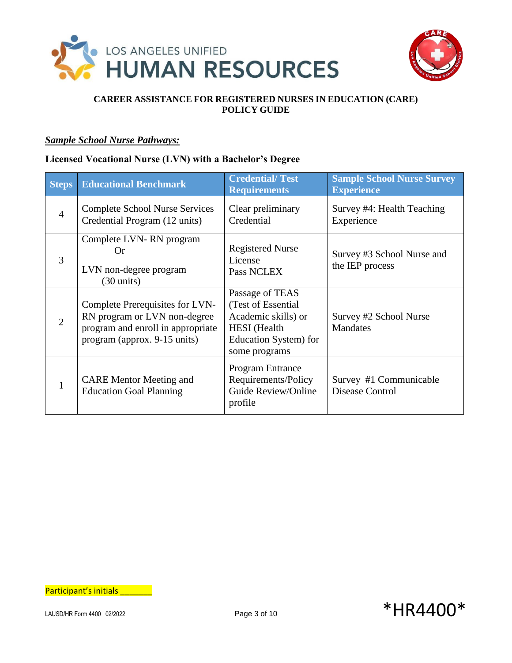



## *Sample School Nurse Pathways:*

# **Licensed Vocational Nurse (LVN) with a Bachelor's Degree**

| <b>Steps</b>   | <b>Educational Benchmark</b>                                                                                                         | <b>Credential/Test</b><br><b>Requirements</b>                                                                                  | <b>Sample School Nurse Survey</b><br><b>Experience</b> |
|----------------|--------------------------------------------------------------------------------------------------------------------------------------|--------------------------------------------------------------------------------------------------------------------------------|--------------------------------------------------------|
| $\overline{4}$ | <b>Complete School Nurse Services</b><br>Credential Program (12 units)                                                               | Clear preliminary<br>Credential                                                                                                | Survey #4: Health Teaching<br>Experience               |
| 3              | Complete LVN-RN program<br>()r<br>LVN non-degree program<br>$(30 \text{ units})$                                                     | <b>Registered Nurse</b><br>License<br>Pass NCLEX                                                                               | Survey #3 School Nurse and<br>the IEP process          |
| 2              | Complete Prerequisites for LVN-<br>RN program or LVN non-degree<br>program and enroll in appropriate<br>program (approx. 9-15 units) | Passage of TEAS<br>(Test of Essential)<br>Academic skills) or<br><b>HESI</b> (Health<br>Education System) for<br>some programs | Survey #2 School Nurse<br>Mandates                     |
|                | <b>CARE</b> Mentor Meeting and<br><b>Education Goal Planning</b>                                                                     | <b>Program Entrance</b><br>Requirements/Policy<br>Guide Review/Online<br>profile                                               | Survey #1 Communicable<br>Disease Control              |

Participant's initials \_\_\_\_\_\_\_

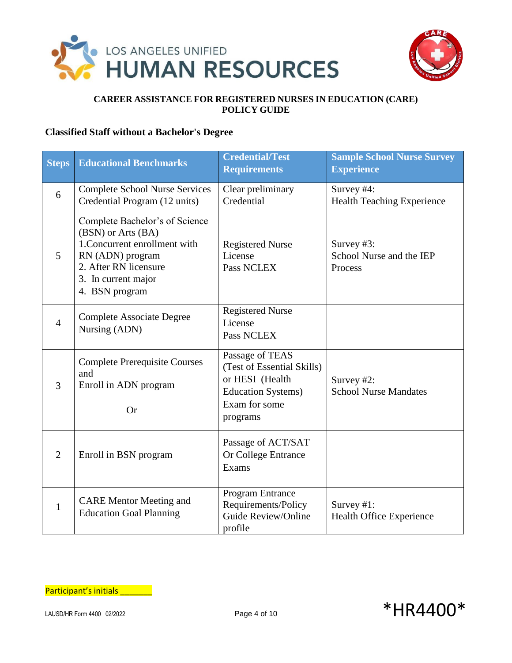



# **Classified Staff without a Bachelor's Degree**

| <b>Steps</b>   | <b>Educational Benchmarks</b>                                                                                                                                               | <b>Credential/Test</b><br><b>Requirements</b>                                                                               | <b>Sample School Nurse Survey</b><br><b>Experience</b> |
|----------------|-----------------------------------------------------------------------------------------------------------------------------------------------------------------------------|-----------------------------------------------------------------------------------------------------------------------------|--------------------------------------------------------|
| 6              | <b>Complete School Nurse Services</b><br>Credential Program (12 units)                                                                                                      | Clear preliminary<br>Credential                                                                                             | Survey #4:<br><b>Health Teaching Experience</b>        |
| 5              | Complete Bachelor's of Science<br>(BSN) or Arts (BA)<br>1. Concurrent enrollment with<br>RN (ADN) program<br>2. After RN licensure<br>3. In current major<br>4. BSN program | <b>Registered Nurse</b><br>License<br>Pass NCLEX                                                                            | Survey #3:<br>School Nurse and the IEP<br>Process      |
| $\overline{4}$ | <b>Complete Associate Degree</b><br>Nursing (ADN)                                                                                                                           | <b>Registered Nurse</b><br>License<br>Pass NCLEX                                                                            |                                                        |
| 3              | <b>Complete Prerequisite Courses</b><br>and<br>Enroll in ADN program<br><b>Or</b>                                                                                           | Passage of TEAS<br>(Test of Essential Skills)<br>or HESI (Health<br><b>Education Systems</b> )<br>Exam for some<br>programs | Survey #2:<br><b>School Nurse Mandates</b>             |
| $\overline{2}$ | Enroll in BSN program                                                                                                                                                       | Passage of ACT/SAT<br>Or College Entrance<br>Exams                                                                          |                                                        |
| $\mathbf{1}$   | <b>CARE Mentor Meeting and</b><br><b>Education Goal Planning</b>                                                                                                            | Program Entrance<br>Requirements/Policy<br>Guide Review/Online<br>profile                                                   | Survey #1:<br>Health Office Experience                 |

Participant's initials \_\_\_\_\_\_\_

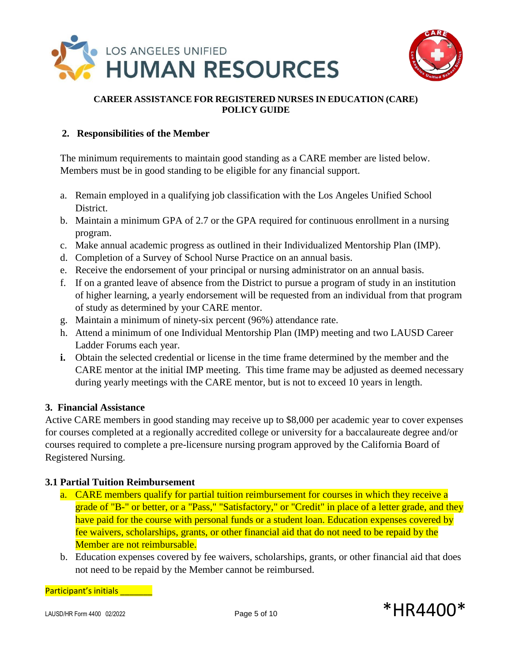



# **2. Responsibilities of the Member**

The minimum requirements to maintain good standing as a CARE member are listed below. Members must be in good standing to be eligible for any financial support.

- a. Remain employed in a qualifying job classification with the Los Angeles Unified School District.
- b. Maintain a minimum GPA of 2.7 or the GPA required for continuous enrollment in a nursing program.
- c. Make annual academic progress as outlined in their Individualized Mentorship Plan (IMP).
- d. Completion of a Survey of School Nurse Practice on an annual basis.
- e. Receive the endorsement of your principal or nursing administrator on an annual basis.
- f. If on a granted leave of absence from the District to pursue a program of study in an institution of higher learning, a yearly endorsement will be requested from an individual from that program of study as determined by your CARE mentor.
- g. Maintain a minimum of ninety-six percent (96%) attendance rate.
- h. Attend a minimum of one Individual Mentorship Plan (IMP) meeting and two LAUSD Career Ladder Forums each year.
- **i.** Obtain the selected credential or license in the time frame determined by the member and the CARE mentor at the initial IMP meeting. This time frame may be adjusted as deemed necessary during yearly meetings with the CARE mentor, but is not to exceed 10 years in length.

# **3. Financial Assistance**

Active CARE members in good standing may receive up to \$8,000 per academic year to cover expenses for courses completed at a regionally accredited college or university for a baccalaureate degree and/or courses required to complete a pre-licensure nursing program approved by the California Board of Registered Nursing.

# **3.1 Partial Tuition Reimbursement**

- a. CARE members qualify for partial tuition reimbursement for courses in which they receive a grade of "B-" or better, or a "Pass," "Satisfactory," or "Credit" in place of a letter grade, and they have paid for the course with personal funds or a student loan. Education expenses covered by fee waivers, scholarships, grants, or other financial aid that do not need to be repaid by the Member are not reimbursable.
- b. Education expenses covered by fee waivers, scholarships, grants, or other financial aid that does not need to be repaid by the Member cannot be reimbursed.

Participant's initials \_\_\_\_\_\_\_\_

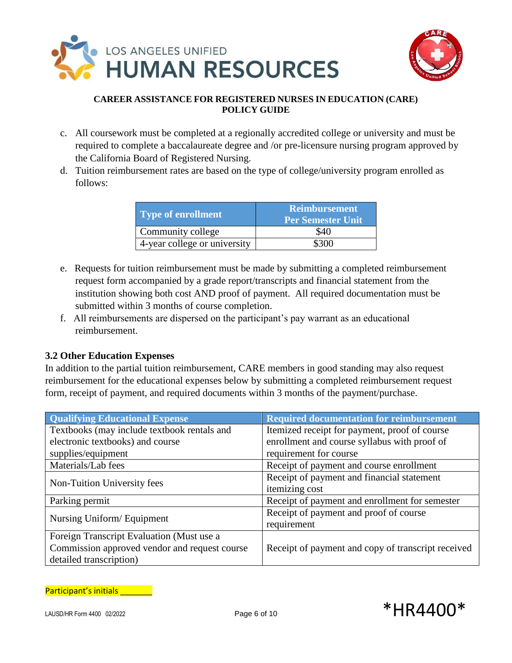



- c. All coursework must be completed at a regionally accredited college or university and must be required to complete a baccalaureate degree and /or pre-licensure nursing program approved by the California Board of Registered Nursing.
- d. Tuition reimbursement rates are based on the type of college/university program enrolled as follows:

| Type of enrollment           | <b>Reimbursement</b><br><b>Per Semester Unit</b> |
|------------------------------|--------------------------------------------------|
| Community college            | \$40                                             |
| 4-year college or university | \$300                                            |

- e. Requests for tuition reimbursement must be made by submitting a completed reimbursement request form accompanied by a grade report/transcripts and financial statement from the institution showing both cost AND proof of payment. All required documentation must be submitted within 3 months of course completion.
- f. All reimbursements are dispersed on the participant's pay warrant as an educational reimbursement.

# **3.2 Other Education Expenses**

In addition to the partial tuition reimbursement, CARE members in good standing may also request reimbursement for the educational expenses below by submitting a completed reimbursement request form, receipt of payment, and required documents within 3 months of the payment/purchase.

| <b>Qualifying Educational Expense</b>         | <b>Required documentation for reimbursement</b>    |
|-----------------------------------------------|----------------------------------------------------|
| Textbooks (may include textbook rentals and   | Itemized receipt for payment, proof of course      |
| electronic textbooks) and course              | enrollment and course syllabus with proof of       |
| supplies/equipment                            | requirement for course                             |
| Materials/Lab fees                            | Receipt of payment and course enrollment           |
| Non-Tuition University fees                   | Receipt of payment and financial statement         |
|                                               | itemizing cost                                     |
| Parking permit                                | Receipt of payment and enrollment for semester     |
| Nursing Uniform/Equipment                     | Receipt of payment and proof of course             |
|                                               | requirement                                        |
| Foreign Transcript Evaluation (Must use a     |                                                    |
| Commission approved vendor and request course | Receipt of payment and copy of transcript received |
| detailed transcription)                       |                                                    |

Participant's initials **Exercise** 

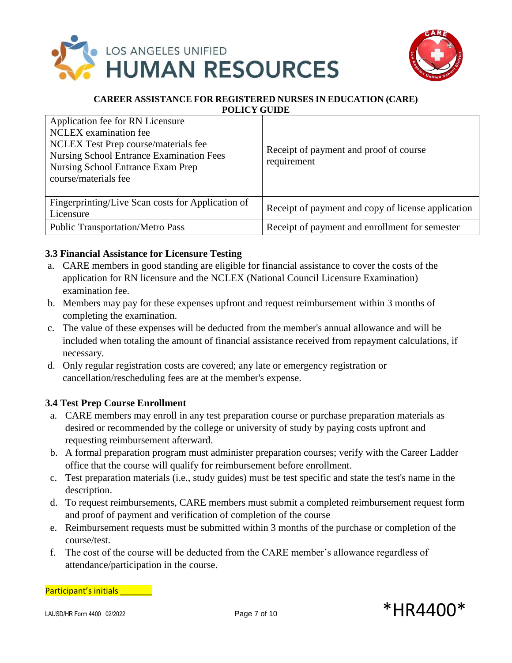



| Application fee for RN Licensure<br><b>NCLEX</b> examination fee<br>NCLEX Test Prep course/materials fee<br><b>Nursing School Entrance Examination Fees</b><br>Nursing School Entrance Exam Prep<br>course/materials fee | Receipt of payment and proof of course<br>requirement |
|--------------------------------------------------------------------------------------------------------------------------------------------------------------------------------------------------------------------------|-------------------------------------------------------|
| Fingerprinting/Live Scan costs for Application of<br>Licensure                                                                                                                                                           | Receipt of payment and copy of license application    |
| <b>Public Transportation/Metro Pass</b>                                                                                                                                                                                  | Receipt of payment and enrollment for semester        |

# **3.3 Financial Assistance for Licensure Testing**

- a. CARE members in good standing are eligible for financial assistance to cover the costs of the application for RN licensure and the NCLEX (National Council Licensure Examination) examination fee.
- b. Members may pay for these expenses upfront and request reimbursement within 3 months of completing the examination.
- c. The value of these expenses will be deducted from the member's annual allowance and will be included when totaling the amount of financial assistance received from repayment calculations, if necessary.
- d. Only regular registration costs are covered; any late or emergency registration or cancellation/rescheduling fees are at the member's expense.

# **3.4 Test Prep Course Enrollment**

- a. CARE members may enroll in any test preparation course or purchase preparation materials as desired or recommended by the college or university of study by paying costs upfront and requesting reimbursement afterward.
- b. A formal preparation program must administer preparation courses; verify with the Career Ladder office that the course will qualify for reimbursement before enrollment.
- c. Test preparation materials (i.e., study guides) must be test specific and state the test's name in the description.
- d. To request reimbursements, CARE members must submit a completed reimbursement request form and proof of payment and verification of completion of the course
- e. Reimbursement requests must be submitted within 3 months of the purchase or completion of the course/test.
- f. The cost of the course will be deducted from the CARE member's allowance regardless of attendance/participation in the course.

Participant's initials **Exercise** 

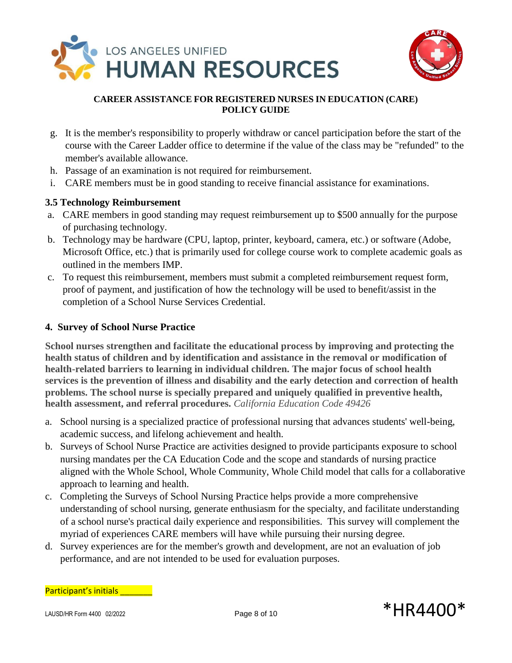



- g. It is the member's responsibility to properly withdraw or cancel participation before the start of the course with the Career Ladder office to determine if the value of the class may be "refunded" to the member's available allowance.
- h. Passage of an examination is not required for reimbursement.
- i. CARE members must be in good standing to receive financial assistance for examinations.

# **3.5 Technology Reimbursement**

- a. CARE members in good standing may request reimbursement up to \$500 annually for the purpose of purchasing technology.
- b. Technology may be hardware (CPU, laptop, printer, keyboard, camera, etc.) or software (Adobe, Microsoft Office, etc.) that is primarily used for college course work to complete academic goals as outlined in the members IMP.
- c. To request this reimbursement, members must submit a completed reimbursement request form, proof of payment, and justification of how the technology will be used to benefit/assist in the completion of a School Nurse Services Credential.

### **4. Survey of School Nurse Practice**

**School nurses strengthen and facilitate the educational process by improving and protecting the health status of children and by identification and assistance in the removal or modification of health-related barriers to learning in individual children. The major focus of school health services is the prevention of illness and disability and the early detection and correction of health problems. The school nurse is specially prepared and uniquely qualified in preventive health, health assessment, and referral procedures.** *California Education Code 49426*

- a. School nursing is a specialized practice of professional nursing that advances students' well-being, academic success, and lifelong achievement and health.
- b. Surveys of School Nurse Practice are activities designed to provide participants exposure to school nursing mandates per the CA Education Code and the scope and standards of nursing practice aligned with the Whole School, Whole Community, Whole Child model that calls for a collaborative approach to learning and health.
- c. Completing the Surveys of School Nursing Practice helps provide a more comprehensive understanding of school nursing, generate enthusiasm for the specialty, and facilitate understanding of a school nurse's practical daily experience and responsibilities. This survey will complement the myriad of experiences CARE members will have while pursuing their nursing degree.
- d. Survey experiences are for the member's growth and development, are not an evaluation of job performance, and are not intended to be used for evaluation purposes.

Participant's initials \_\_\_\_\_\_\_\_

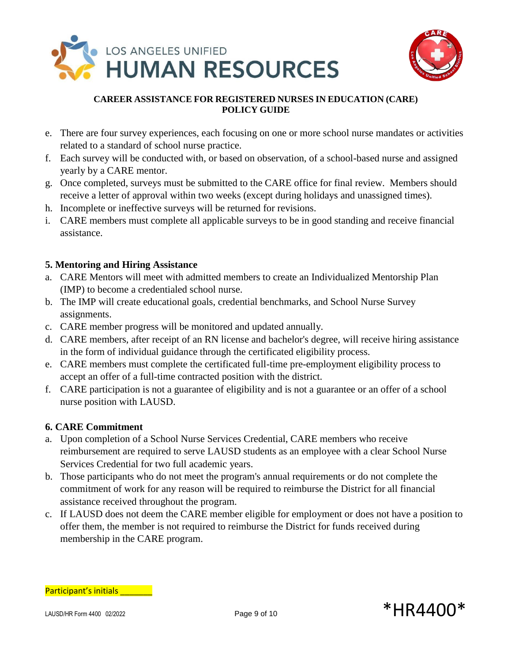



- e. There are four survey experiences, each focusing on one or more school nurse mandates or activities related to a standard of school nurse practice.
- f. Each survey will be conducted with, or based on observation, of a school-based nurse and assigned yearly by a CARE mentor.
- g. Once completed, surveys must be submitted to the CARE office for final review. Members should receive a letter of approval within two weeks (except during holidays and unassigned times).
- h. Incomplete or ineffective surveys will be returned for revisions.
- i. CARE members must complete all applicable surveys to be in good standing and receive financial assistance.

# **5. Mentoring and Hiring Assistance**

- a. CARE Mentors will meet with admitted members to create an Individualized Mentorship Plan (IMP) to become a credentialed school nurse.
- b. The IMP will create educational goals, credential benchmarks, and School Nurse Survey assignments.
- c. CARE member progress will be monitored and updated annually.
- d. CARE members, after receipt of an RN license and bachelor's degree, will receive hiring assistance in the form of individual guidance through the certificated eligibility process.
- e. CARE members must complete the certificated full-time pre-employment eligibility process to accept an offer of a full-time contracted position with the district.
- f. CARE participation is not a guarantee of eligibility and is not a guarantee or an offer of a school nurse position with LAUSD.

# **6. CARE Commitment**

- a. Upon completion of a School Nurse Services Credential, CARE members who receive reimbursement are required to serve LAUSD students as an employee with a clear School Nurse Services Credential for two full academic years.
- b. Those participants who do not meet the program's annual requirements or do not complete the commitment of work for any reason will be required to reimburse the District for all financial assistance received throughout the program.
- c. If LAUSD does not deem the CARE member eligible for employment or does not have a position to offer them, the member is not required to reimburse the District for funds received during membership in the CARE program.

Participant's initials \_\_\_\_\_\_\_